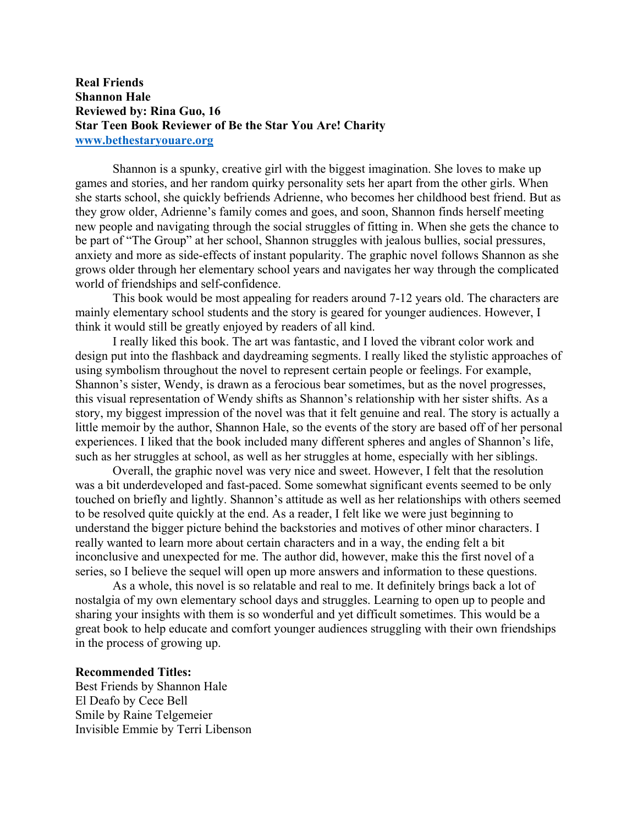## **Real Friends Shannon Hale Reviewed by: Rina Guo, 16 Star Teen Book Reviewer of Be the Star You Are! Charity www.bethestaryouare.org**

Shannon is a spunky, creative girl with the biggest imagination. She loves to make up games and stories, and her random quirky personality sets her apart from the other girls. When she starts school, she quickly befriends Adrienne, who becomes her childhood best friend. But as they grow older, Adrienne's family comes and goes, and soon, Shannon finds herself meeting new people and navigating through the social struggles of fitting in. When she gets the chance to be part of "The Group" at her school, Shannon struggles with jealous bullies, social pressures, anxiety and more as side-effects of instant popularity. The graphic novel follows Shannon as she grows older through her elementary school years and navigates her way through the complicated world of friendships and self-confidence.

This book would be most appealing for readers around 7-12 years old. The characters are mainly elementary school students and the story is geared for younger audiences. However, I think it would still be greatly enjoyed by readers of all kind.

I really liked this book. The art was fantastic, and I loved the vibrant color work and design put into the flashback and daydreaming segments. I really liked the stylistic approaches of using symbolism throughout the novel to represent certain people or feelings. For example, Shannon's sister, Wendy, is drawn as a ferocious bear sometimes, but as the novel progresses, this visual representation of Wendy shifts as Shannon's relationship with her sister shifts. As a story, my biggest impression of the novel was that it felt genuine and real. The story is actually a little memoir by the author, Shannon Hale, so the events of the story are based off of her personal experiences. I liked that the book included many different spheres and angles of Shannon's life, such as her struggles at school, as well as her struggles at home, especially with her siblings.

Overall, the graphic novel was very nice and sweet. However, I felt that the resolution was a bit underdeveloped and fast-paced. Some somewhat significant events seemed to be only touched on briefly and lightly. Shannon's attitude as well as her relationships with others seemed to be resolved quite quickly at the end. As a reader, I felt like we were just beginning to understand the bigger picture behind the backstories and motives of other minor characters. I really wanted to learn more about certain characters and in a way, the ending felt a bit inconclusive and unexpected for me. The author did, however, make this the first novel of a series, so I believe the sequel will open up more answers and information to these questions.

As a whole, this novel is so relatable and real to me. It definitely brings back a lot of nostalgia of my own elementary school days and struggles. Learning to open up to people and sharing your insights with them is so wonderful and yet difficult sometimes. This would be a great book to help educate and comfort younger audiences struggling with their own friendships in the process of growing up.

## **Recommended Titles:**

Best Friends by Shannon Hale El Deafo by Cece Bell Smile by Raine Telgemeier Invisible Emmie by Terri Libenson